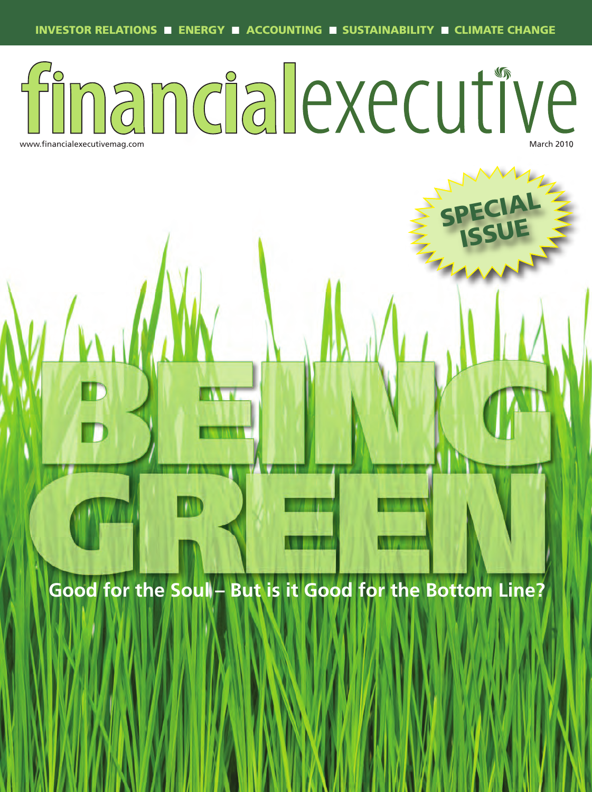## inandialexecutive www.financialexecutivemag.com

**SPECIAL** 

**ISSUE**

**Good for the Soul – But is it Good for the Bottom Line?**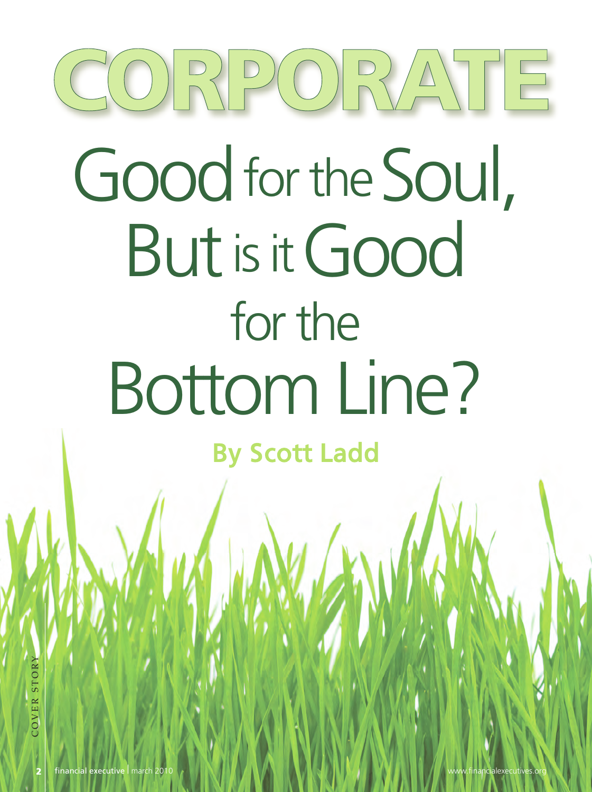# $(C(0)RP0) P(0) P(1) T E$ Good for the Soul, Butis itGood for the Bottom Line?

By Scott Ladd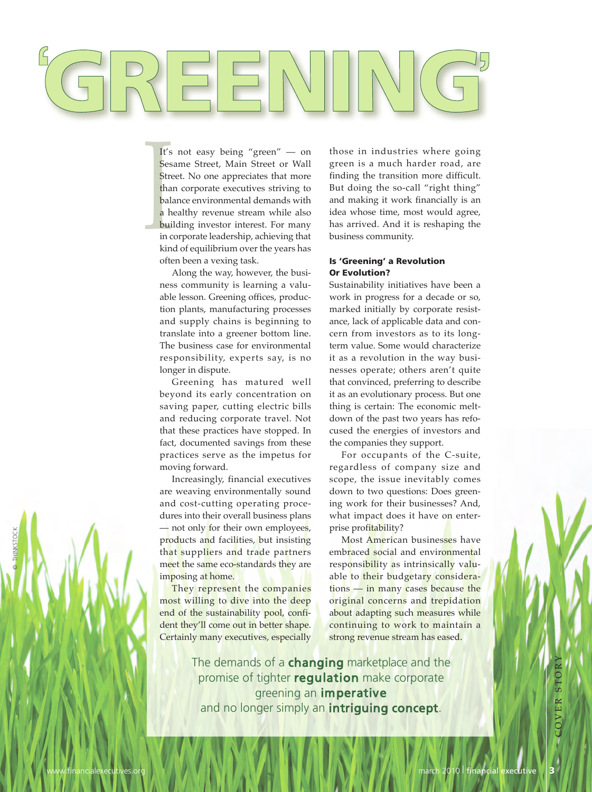Ses<br>Stre<br>tha<br>bala<br>a h<br>bui<br>in c<br>kin It's not easy being "green" — on Sesame Street, Main Street or Wall Street. No one appreciates that more than corporate executives striving to balance environmental demands with a healthy revenue stream while also building  investor  interest.  For  many in corporate leadership, achieving that kind of equilibrium over the years has often been a vexing task.

Along the way, however, the business community is learning a valuable lesson. Greening offices, production  plants, manufacturing  processes and supply chains is beginning to translate into a greener bottom line. The business case for environmental responsibility,  experts  say,  is  no longer in dispute.

Greening  has  matured  well beyond its  early  concentration  on saving paper, cutting electric bills and reducing corporate travel. Not that these practices have stopped. In fact, documented savings from these practices  serve  as  the impetus  for moving forward.

Increasingly,  financial  executives are weaving environmentally sound and cost-cutting operating procedures into their overall business plans — not only for their own employees, products  and  facilities,  but insisting that suppliers and trade partners meet the same eco-standards they are imposing at home.

They represent the companies most willing to dive into the deep end of the sustainability pool, confident they'll come out in better shape. Certainly many executives, especially

those  in  industries  where  going green is a much harder road, are finding the transition more difficult. But doing the so-call "right thing" and making it work financially is an idea whose  time, most would  agree, has arrived. And it is reshaping the business community.

#### **Is 'Greening' a Revolution Or Evolution?**

Sustainability initiatives have been a work in progress for a decade or so, marked initially by corporate resistance, lack of applicable data and concern from investors as to its longterm value. Some would characterize it as a revolution in the way businesses  operate;  others  aren't  quite that convinced, preferring to describe it as an evolutionary process. But one thing is certain: The economic meltdown of the past two years has refocused  the  energies  of investors  and the companies they support.

For occupants of the C-suite, regardless  of  company  size  and scope, the issue inevitably comes down to two questions: Does greening work for their businesses? And, what impact does it have on enterprise profitability?

Most American businesses have embraced social and environmental responsibility as intrinsically valuable to their budgetary considerations — in many cases because the original  concerns  and  trepidation about adapting such measures while continuing to work to maintain a strong revenue stream has eased.

The demands of a **changing** marketplace and the promise of tighter regulation make corporate greening an imperative and no longer simply an **intriguing concept**.

© THINKSTOCK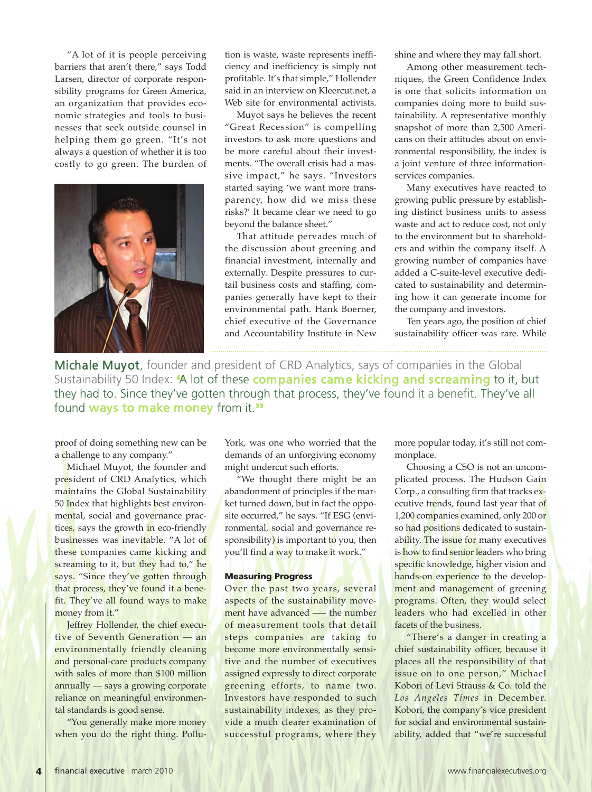"A lot of it is people perceiving barriers  that  aren't  there," says Todd Larsen, director of corporate responsibility programs for Green America, an organization that provides economic  strategies  and  tools  to  businesses  that  seek  outside  counsel in helping them go green. "It's not always a question of whether it is too costly to go green. The burden of



tion is waste, waste represents inefficiency  and inefficiency is  simply  not profitable. It's that simple," Hollender said in an interview on Kleercut.net, a Web site for environmental activists.

Muyot says he believes the recent "Great  Recession" is  compelling investors  to  ask more  questions  and be more careful about their investments. "The overall crisis had a massive impact," he says. "Investors started saying 'we want more transparency,  how  did  we  miss  these risks?' It became clear we need to go beyond the balance sheet."

That  attitude  pervades much  of the discussion about greening and financial investment, internally  and externally. Despite  pressures  to  curtail business costs and staffing, companies  generally  have  kept  to  their environmental  path. Hank  Boerner, chief  executive  of  the Governance and Accountability  Institute in New

shine and where they may fall short.

Among other measurement techniques,  the Green  Confidence  Index is one that solicits information on companies doing more to build sustainability. A  representative monthly snapshot of more than 2,500 Americans on their attitudes about on environmental responsibility, the index is a  joint  venture  of  three informationservices companies.

Many executives have reacted to growing public pressure by establishing  distinct  business  units  to  assess waste and act to reduce cost, not only to the environment but to shareholders  and within  the company itself. A growing  number  of  companies  have added a C-suite-level executive dedicated to sustainability and determining how it can generate income for the company and investors.

Ten years ago, the position of chief sustainability officer was rare. While

Michale Muyot, founder and president of CRD Analytics, says of companies in the Global Sustainability 50 Index: **"**A lot of these companies came kicking and screaming to it, but they had to. Since they've gotten through that process, they've found it a benefit. They've all found ways to make money from it.**"**

proof of doing something new can be a challenge to any company."

Michael Muyot, the founder and president of CRD Analytics, which maintains the Global Sustainability 50 Index that highlights best environmental, social and governance practices, says the growth in eco-friendly businesses was inevitable. "A lot of these companies came kicking and screaming to it, but they had to," he says. "Since they've gotten through that process, they've found it a benefit. They've all found ways to make money from it."

Jeffrey Hollender, the chief executive of Seventh Generation — an environmentally  friendly  cleaning and personal-care products company with sales of more than \$100 million annually — says a growing corporate reliance on meaningful environmental standards is good sense.

"You generally make more money when you do the right thing. PolluYork, was one who worried that the demands of an unforgiving economy might undercut such efforts.

"We  thought  there  might  be  an abandonment of principles if the market turned down, but in fact the opposite occurred," he says. "If ESG (environmental, social and governance responsibility) is important to you, then you'll find a way to make it work."

#### **Measuring Progress**

Over the past two years, several aspects of the sustainability movement have advanced —– the number of measurement tools that detail steps companies are taking to become more environmentally sensitive and the number of executives assigned expressly to direct corporate greening efforts, to name two. Investors have responded to such sustainability indexes, as they provide a much clearer examination of successful programs, where they

more popular today, it's still not commonplace.

Choosing a CSO is not an uncomplicated  process.  The  Hudson  Gain Corp., a consulting firm that tracks executive trends, found last year that of 1,200 companies examined, only 200 or so had positions dedicated to sustainability. The issue for many executives is how to find senior leaders who bring specific knowledge, higher vision and hands-on experience to the development and management of greening programs. Often, they would select leaders who had excelled in other facets of the business.

"There's a danger in creating a chief sustainability officer, because it places all the responsibility of that issue on to one person," Michael Kobori of Levi Strauss & Co. told the *Los Angeles Times* in  December. Kobori, the company's vice president for social and environmental sustainability,  added  that  "we're  successful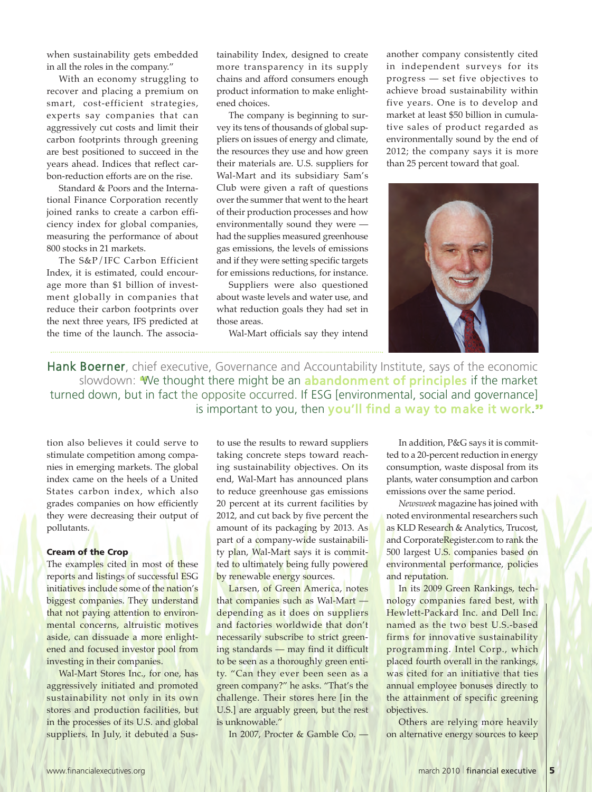when sustainability gets embedded in all the roles in the company."

With an economy struggling to recover  and  placing  a  premium  on smart, cost-efficient strategies, experts  say  companies  that  can aggressively cut costs  and limit  their carbon  footprints  through  greening are best positioned to succeed in the years  ahead.  Indices  that  reflect  carbon-reduction efforts are on the rise.

Standard & Poors and the International  Finance  Corporation  recently joined ranks to create a carbon efficiency index  for  global  companies, measuring the performance of about 800 stocks in 21 markets.

The S&P/IFC Carbon Efficient Index, it is estimated, could encourage more than \$1 billion of investment  globally in  companies  that reduce their carbon footprints over the next three years, IFS predicted at the time of the launch. The associa-

tainability  Index,  designed  to  create more  transparency  in  its  supply chains and afford consumers enough product information to make enlightened choices.

The company is beginning to survey its tens of thousands of global suppliers on issues of energy and climate, the resources they use and how green their materials are. U.S. suppliers for Wal-Mart and its subsidiary Sam's Club  were  given  a  raft  of  questions over the summer that went to the heart of their production processes and how environmentally sound they were had the supplies measured greenhouse gas emissions, the levels of emissions and if they were setting specific targets for emissions reductions, for instance.

Suppliers  were  also  questioned about waste levels and water use, and what reduction goals they had set in those areas.

Wal-Mart officials say they intend

another  company  consistently  cited in independent surveys for its progress —  set  five  objectives  to achieve  broad  sustainability within five  years. One is  to  develop  and market at least \$50 billion in cumulative  sales  of  product  regarded  as environmentally sound by the end of 2012; the company says it is more than 25 percent toward that goal.



Hank Boerner, chief executive, Governance and Accountability Institute, says of the economic slowdown: **"**We thought there might be an abandonment of principles if the market turned down, but in fact the opposite occurred. If ESG [environmental, social and governance] is important to you, then you'll find a way to make it work.**"**

tion  also  believes it  could  serve  to stimulate competition among companies in emerging markets. The global index  came  on  the  heels  of  a United States carbon index, which also grades  companies  on  how efficiently they were decreasing their output of pollutants.

#### **Cream of the Crop**

The examples cited in most of these reports and listings of successful ESG initiatives include some of the nation's biggest companies. They understand that not paying attention to environmental concerns, altruistic motives aside, can dissuade a more enlightened and focused investor pool from investing in their companies.

Wal-Mart Stores Inc., for one, has aggressively initiated  and  promoted sustainability not only in its own stores and production facilities, but in the processes of its U.S. and global suppliers. In July, it debuted a Susto use the results to reward suppliers taking concrete steps toward reaching  sustainability  objectives. On its end, Wal-Mart has announced plans to reduce greenhouse gas emissions 20 percent at its current facilities by 2012, and cut back by five percent the amount of its packaging by 2013. As part of a company-wide sustainability plan, Wal-Mart says it is committed to ultimately being fully powered by renewable energy sources.

Larsen, of Green America, notes that companies such as Wal-Mart depending as it does on suppliers and factories worldwide that don't necessarily subscribe to strict greening standards — may  find it difficult to be seen as a thoroughly green entity. "Can they ever been seen as a green company?" he asks. "That's the challenge.  Their  stores  here  [in  the U.S.] are arguably green, but the rest is unknowable."

In 2007, Procter & Gamble Co. —

In addition, P&G says it is committed to a 20-percent reduction in energy consumption, waste disposal from its plants, water consumption and carbon emissions over the same period.

*Newsweek* magazine has joined with noted environmental researchers such as KLD Research & Analytics, Trucost, and CorporateRegister.com to rank the 500 largest U.S. companies based on environmental performance, policies and reputation.

In its 2009 Green Rankings, technology  companies  fared  best, with Hewlett-Packard Inc. and Dell Inc. named as the two best U.S.-based firms for innovative sustainability programming.  Intel  Corp., which placed fourth overall in the rankings, was cited for an initiative that ties annual employee bonuses directly  to the attainment of specific greening objectives.

Others are relying more heavily on alternative energy sources to keep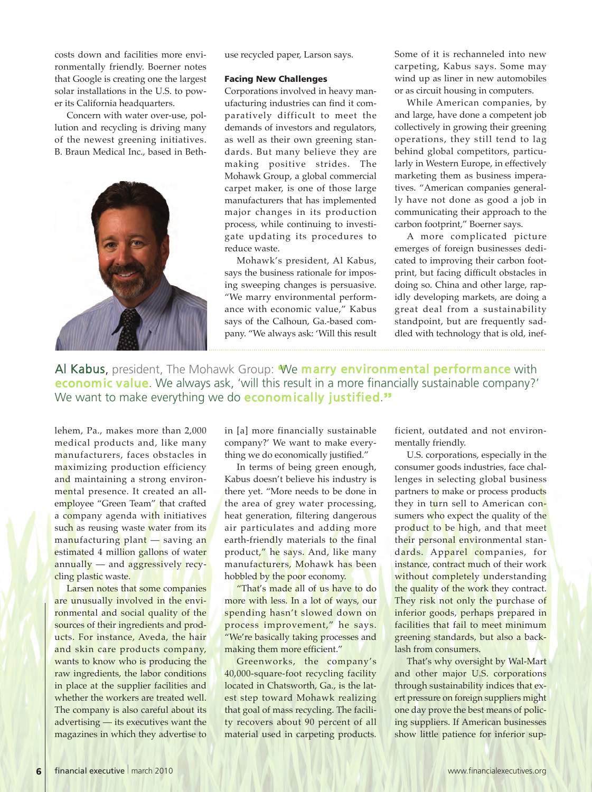costs  down  and  facilities more  environmentally  friendly.  Boerner  notes that Google is creating one the largest solar installations in the U.S. to power its California headquarters.

Concern with water over-use, pollution and recycling is driving many of the newest greening initiatives. B. Braun Medical Inc., based in Beth-



use recycled paper, Larson says.

#### **Facing New Challenges**

Corporations involved in heavy manufacturing industries can find it comparatively  difficult  to  meet  the demands of investors and regulators, as well  as  their  own  greening  standards. But many believe they are making  positive  strides.  The Mohawk Group, a global commercial carpet maker, is one of those large manufacturers that has implemented major  changes  in  its  production process, while  continuing  to investigate  updating  its  procedures  to reduce waste.

Mohawk's president, Al Kabus, says the business rationale for imposing sweeping changes is persuasive. "We marry  environmental performance with economic value," Kabus says of the Calhoun, Ga.-based company. "We always ask: 'Will this result

Some of it is rechanneled into new carpeting, Kabus says. Some may wind up as liner in new automobiles or as circuit housing in computers.

While American companies, by and large, have done a competent job collectively in growing their greening operations,  they  still  tend  to lag behind global competitors, particularly in Western Europe, in effectively marketing them as business imperatives. "American companies generally have not done as good a job in communicating their approach to the carbon footprint," Boerner says.

A  more  complicated  picture emerges  of  foreign  businesses  dedicated to improving their carbon footprint, but  facing difficult obstacles in doing so. China and other large, rapidly developing markets, are doing a great  deal  from  a  sustainability standpoint, but are frequently saddled with technology that is old, inef-

Al Kabus, president, The Mohawk Group: **"**We marry environmental performance with economic value. We always ask, 'will this result in a more financially sustainable company?' We want to make everything we do economically justified.**"**

lehem, Pa., makes more than 2,000 medical products and, like many manufacturers,  faces  obstacles in maximizing production efficiency and maintaining a strong environmental presence. It created an allemployee "Green Team" that crafted a company agenda with initiatives such as reusing waste water from its manufacturing plant — saving an estimated 4 million gallons of water annually — and aggressively recycling plastic waste.

Larsen notes that some companies are unusually involved in the environmental and social quality of the sources of their ingredients and products. For instance, Aveda, the hair and skin care products company, wants to know who is producing the raw ingredients, the labor conditions in place at the supplier facilities and whether the workers are treated well. The company is also careful about its advertising — its executives want the magazines in which they advertise to

in [a] more financially sustainable company?' We want to make everything we do economically justified."

In terms of being green enough, Kabus doesn't believe his industry is there yet. "More needs to be done in the area of grey water processing, heat  generation,  filtering  dangerous air particulates and adding more earth-friendly materials to the final product," he says. And, like many manufacturers, Mohawk has been hobbled by the poor economy.

"That's made all of us have to do more with less. In a lot of ways, our spending hasn't slowed down on process improvement," he says. "We're basically taking processes and making them more efficient."

Greenworks,  the  company's 40,000-square-foot  recycling  facility located in Chatsworth, Ga., is the latest step toward Mohawk realizing that goal of mass recycling. The facility  recovers  about  90  percent  of  all material used in carpeting products.

ficient, outdated and not environmentally friendly.

U.S. corporations, especially in the consumer goods industries, face challenges in  selecting  global  business partners to make or process products they in turn sell to American consumers who expect the quality of the product to be high, and that meet their personal environmental standards. Apparel companies, for instance, contract much of their work without completely understanding the quality of the work they contract. They risk not only the purchase of inferior goods, perhaps prepared in facilities that fail to meet minimum greening standards, but also a backlash from consumers.

That's why oversight by Wal-Mart and other major U.S. corporations through sustainability indices that exert pressure on foreign suppliers might one day prove the best means of policing suppliers. If American businesses show little patience for inferior sup